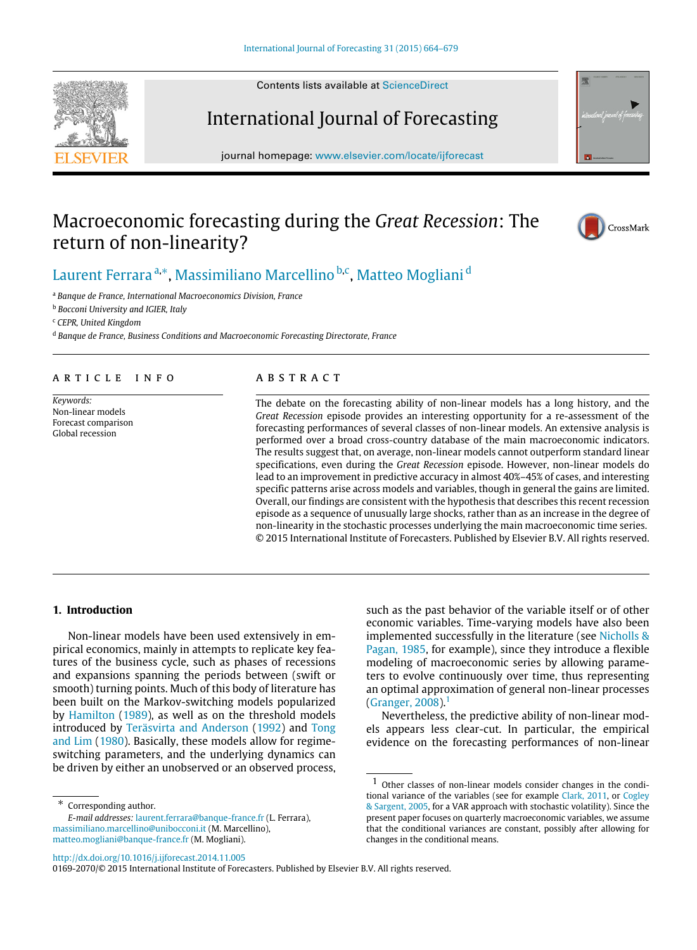Contents lists available at [ScienceDirect](http://www.elsevier.com/locate/ijforecast)

## International Journal of Forecasting

journal homepage: [www.elsevier.com/locate/ijforecast](http://www.elsevier.com/locate/ijforecast)

## Macroeconomic forecasting during the *Great Recession*: The return of non-linearity?

## [Laurent Ferrara](#page--1-0) <sup>[a,](#page-0-0)[∗](#page-0-1)</sup>, [Massimiliano Marcellino](#page--1-1) <sup>[b](#page-0-2)[,c](#page-0-3)</sup>, [Matteo Mogliani](#page--1-2) <sup>[d](#page-0-4)</sup>

<span id="page-0-0"></span><sup>a</sup> *Banque de France, International Macroeconomics Division, France*

<span id="page-0-2"></span><sup>b</sup> *Bocconi University and IGIER, Italy*

<span id="page-0-3"></span><sup>c</sup> *CEPR, United Kingdom*

<span id="page-0-4"></span><sup>d</sup> *Banque de France, Business Conditions and Macroeconomic Forecasting Directorate, France*

#### A R T I C L E I N F O

*Keywords:* Non-linear models Forecast comparison Global recession

### a b s t r a c t

The debate on the forecasting ability of non-linear models has a long history, and the *Great Recession* episode provides an interesting opportunity for a re-assessment of the forecasting performances of several classes of non-linear models. An extensive analysis is performed over a broad cross-country database of the main macroeconomic indicators. The results suggest that, on average, non-linear models cannot outperform standard linear specifications, even during the *Great Recession* episode. However, non-linear models do lead to an improvement in predictive accuracy in almost 40%–45% of cases, and interesting specific patterns arise across models and variables, though in general the gains are limited. Overall, our findings are consistent with the hypothesis that describes this recent recession episode as a sequence of unusually large shocks, rather than as an increase in the degree of non-linearity in the stochastic processes underlying the main macroeconomic time series. © 2015 International Institute of Forecasters. Published by Elsevier B.V. All rights reserved.

#### **1. Introduction**

Non-linear models have been used extensively in empirical economics, mainly in attempts to replicate key features of the business cycle, such as phases of recessions and expansions spanning the periods between (swift or smooth) turning points. Much of this body of literature has been built on the Markov-switching models popularized by [Hamilton](#page--1-3) [\(1989\)](#page--1-3), as well as on the threshold models introduced by [Teräsvirta](#page--1-4) [and](#page--1-4) [Anderson](#page--1-4) [\(1992\)](#page--1-4) and [Tong](#page--1-5) [and](#page--1-5) [Lim](#page--1-5) [\(1980\)](#page--1-5). Basically, these models allow for regimeswitching parameters, and the underlying dynamics can be driven by either an unobserved or an observed process,

<span id="page-0-1"></span>Corresponding author. *E-mail addresses:* [laurent.ferrara@banque-france.fr](mailto:laurent.ferrara@banque-france.fr) (L. Ferrara), [massimiliano.marcellino@unibocconi.it](mailto:massimiliano.marcellino@unibocconi.it) (M. Marcellino), [matteo.mogliani@banque-france.fr](mailto:matteo.mogliani@banque-france.fr) (M. Mogliani).

<http://dx.doi.org/10.1016/j.ijforecast.2014.11.005>

0169-2070/© 2015 International Institute of Forecasters. Published by Elsevier B.V. All rights reserved.

such as the past behavior of the variable itself or of other economic variables. Time-varying models have also been implemented successfully in the literature (see [Nicholls](#page--1-6) [&](#page--1-6) [Pagan,](#page--1-6) [1985,](#page--1-6) for example), since they introduce a flexible modeling of macroeconomic series by allowing parameters to evolve continuously over time, thus representing an optimal approximation of general non-linear processes [\(Granger,](#page--1-7) [2008\)](#page--1-7). $<sup>1</sup>$  $<sup>1</sup>$  $<sup>1</sup>$ </sup>

Nevertheless, the predictive ability of non-linear models appears less clear-cut. In particular, the empirical evidence on the forecasting performances of non-linear





<span id="page-0-5"></span><sup>1</sup> Other classes of non-linear models consider changes in the conditional variance of the variables (see for example [Clark,](#page--1-8) [2011,](#page--1-8) or [Cogley](#page--1-9) [&](#page--1-9) [Sargent,](#page--1-9) [2005,](#page--1-9) for a VAR approach with stochastic volatility). Since the present paper focuses on quarterly macroeconomic variables, we assume that the conditional variances are constant, possibly after allowing for changes in the conditional means.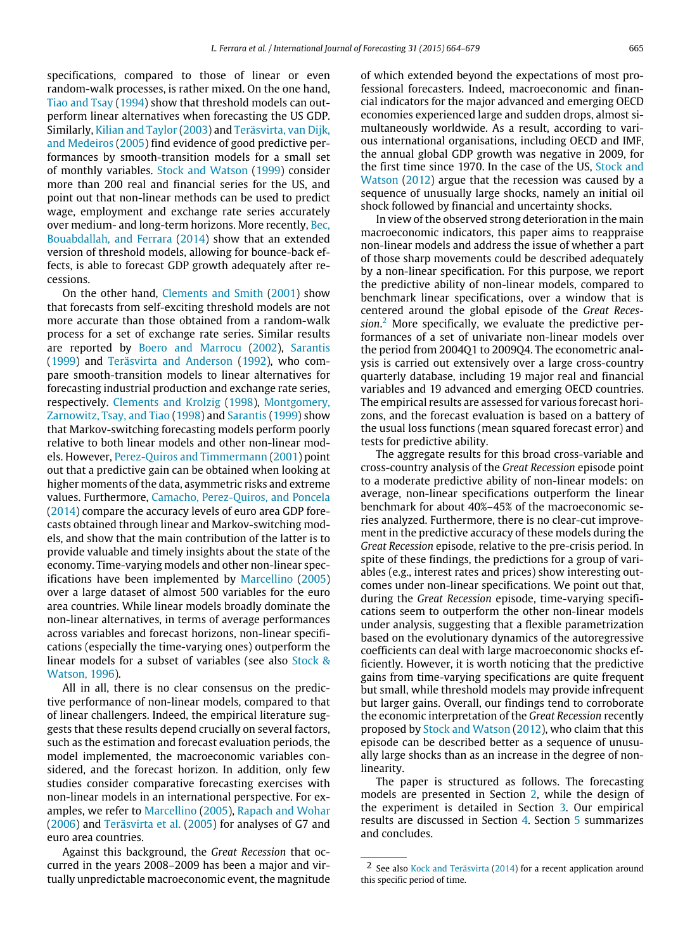specifications, compared to those of linear or even random-walk processes, is rather mixed. On the one hand, [Tiao](#page--1-10) [and](#page--1-10) [Tsay](#page--1-10) [\(1994\)](#page--1-10) show that threshold models can outperform linear alternatives when forecasting the US GDP. Similarly, [Kilian](#page--1-11) [and](#page--1-11) [Taylor](#page--1-11) [\(2003\)](#page--1-11) and [Teräsvirta,](#page--1-12) [van](#page--1-12) [Dijk,](#page--1-12) [and](#page--1-12) [Medeiros](#page--1-12) [\(2005\)](#page--1-12) find evidence of good predictive performances by smooth-transition models for a small set of monthly variables. [Stock](#page--1-13) [and](#page--1-13) [Watson](#page--1-13) [\(1999\)](#page--1-13) consider more than 200 real and financial series for the US, and point out that non-linear methods can be used to predict wage, employment and exchange rate series accurately over medium- and long-term horizons. More recently, [Bec,](#page--1-14) [Bouabdallah,](#page--1-14) [and](#page--1-14) [Ferrara](#page--1-14) [\(2014\)](#page--1-14) show that an extended version of threshold models, allowing for bounce-back effects, is able to forecast GDP growth adequately after recessions.

On the other hand, [Clements](#page--1-15) [and](#page--1-15) [Smith](#page--1-15) [\(2001\)](#page--1-15) show that forecasts from self-exciting threshold models are not more accurate than those obtained from a random-walk process for a set of exchange rate series. Similar results are reported by [Boero](#page--1-16) [and](#page--1-16) [Marrocu](#page--1-16) [\(2002\)](#page--1-16), [Sarantis](#page--1-17) [\(1999\)](#page--1-17) and [Teräsvirta](#page--1-4) [and](#page--1-4) [Anderson](#page--1-4) [\(1992\)](#page--1-4), who compare smooth-transition models to linear alternatives for forecasting industrial production and exchange rate series, respectively. [Clements](#page--1-18) [and](#page--1-18) [Krolzig](#page--1-18) [\(1998\)](#page--1-18), [Montgomery,](#page--1-19) [Zarnowitz,](#page--1-19) [Tsay,](#page--1-19) [and](#page--1-19) [Tiao](#page--1-19) [\(1998\)](#page--1-19) and [Sarantis](#page--1-17) [\(1999\)](#page--1-17) show that Markov-switching forecasting models perform poorly relative to both linear models and other non-linear models. However, [Perez-Quiros](#page--1-20) [and](#page--1-20) [Timmermann](#page--1-20) [\(2001\)](#page--1-20) point out that a predictive gain can be obtained when looking at higher moments of the data, asymmetric risks and extreme values. Furthermore, [Camacho,](#page--1-21) [Perez-Quiros,](#page--1-21) [and](#page--1-21) [Poncela](#page--1-21) [\(2014\)](#page--1-21) compare the accuracy levels of euro area GDP forecasts obtained through linear and Markov-switching models, and show that the main contribution of the latter is to provide valuable and timely insights about the state of the economy. Time-varying models and other non-linear specifications have been implemented by [Marcellino](#page--1-22) [\(2005\)](#page--1-22) over a large dataset of almost 500 variables for the euro area countries. While linear models broadly dominate the non-linear alternatives, in terms of average performances across variables and forecast horizons, non-linear specifications (especially the time-varying ones) outperform the linear models for a subset of variables (see also [Stock](#page--1-23) [&](#page--1-23) [Watson,](#page--1-23) [1996\)](#page--1-23).

All in all, there is no clear consensus on the predictive performance of non-linear models, compared to that of linear challengers. Indeed, the empirical literature suggests that these results depend crucially on several factors, such as the estimation and forecast evaluation periods, the model implemented, the macroeconomic variables considered, and the forecast horizon. In addition, only few studies consider comparative forecasting exercises with non-linear models in an international perspective. For examples, we refer to [Marcellino](#page--1-22) [\(2005\)](#page--1-22), [Rapach](#page--1-24) [and](#page--1-24) [Wohar](#page--1-24) [\(2006\)](#page--1-24) and [Teräsvirta](#page--1-12) [et al.](#page--1-12) [\(2005\)](#page--1-12) for analyses of G7 and euro area countries.

Against this background, the *Great Recession* that occurred in the years 2008–2009 has been a major and virtually unpredictable macroeconomic event, the magnitude of which extended beyond the expectations of most professional forecasters. Indeed, macroeconomic and financial indicators for the major advanced and emerging OECD economies experienced large and sudden drops, almost simultaneously worldwide. As a result, according to various international organisations, including OECD and IMF, the annual global GDP growth was negative in 2009, for the first time since 1970. In the case of the US, [Stock](#page--1-25) [and](#page--1-25) [Watson](#page--1-25) [\(2012\)](#page--1-25) argue that the recession was caused by a sequence of unusually large shocks, namely an initial oil shock followed by financial and uncertainty shocks.

In view of the observed strong deterioration in the main macroeconomic indicators, this paper aims to reappraise non-linear models and address the issue of whether a part of those sharp movements could be described adequately by a non-linear specification. For this purpose, we report the predictive ability of non-linear models, compared to benchmark linear specifications, over a window that is centered around the global episode of the *Great Recession*. [2](#page-1-0) More specifically, we evaluate the predictive performances of a set of univariate non-linear models over the period from 2004Q1 to 2009Q4. The econometric analysis is carried out extensively over a large cross-country quarterly database, including 19 major real and financial variables and 19 advanced and emerging OECD countries. The empirical results are assessed for various forecast horizons, and the forecast evaluation is based on a battery of the usual loss functions (mean squared forecast error) and tests for predictive ability.

The aggregate results for this broad cross-variable and cross-country analysis of the *Great Recession* episode point to a moderate predictive ability of non-linear models: on average, non-linear specifications outperform the linear benchmark for about 40%–45% of the macroeconomic series analyzed. Furthermore, there is no clear-cut improvement in the predictive accuracy of these models during the *Great Recession* episode, relative to the pre-crisis period. In spite of these findings, the predictions for a group of variables (e.g., interest rates and prices) show interesting outcomes under non-linear specifications. We point out that, during the *Great Recession* episode, time-varying specifications seem to outperform the other non-linear models under analysis, suggesting that a flexible parametrization based on the evolutionary dynamics of the autoregressive coefficients can deal with large macroeconomic shocks efficiently. However, it is worth noticing that the predictive gains from time-varying specifications are quite frequent but small, while threshold models may provide infrequent but larger gains. Overall, our findings tend to corroborate the economic interpretation of the *Great Recession* recently proposed by [Stock](#page--1-25) [and](#page--1-25) [Watson](#page--1-25) [\(2012\)](#page--1-25), who claim that this episode can be described better as a sequence of unusually large shocks than as an increase in the degree of nonlinearity.

The paper is structured as follows. The forecasting models are presented in Section [2,](#page--1-26) while the design of the experiment is detailed in Section [3.](#page--1-27) Our empirical results are discussed in Section [4.](#page--1-28) Section [5](#page--1-29) summarizes and concludes.

<span id="page-1-0"></span><sup>2</sup> See also [Kock](#page--1-30) [and](#page--1-30) [Teräsvirta](#page--1-30) [\(2014\)](#page--1-30) for a recent application around this specific period of time.